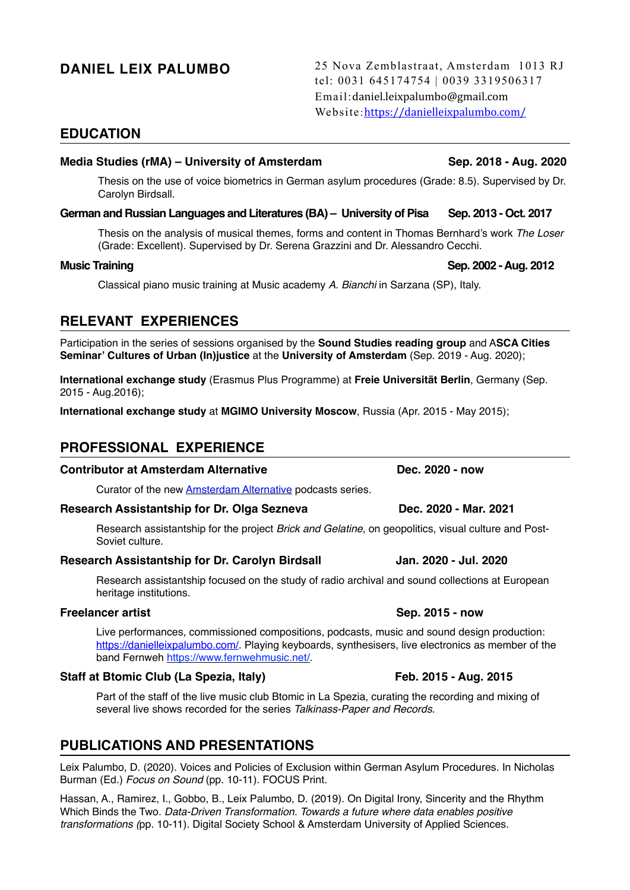**DANIEL LEIX PALUMBO** 25 Nova Zemblastraat, Amsterdam 1013 RJ tel: 0031 645174754 | 0039 3319506317 Email:daniel.leixpalumbo@gmail.com Website:<https://danielleixpalumbo.com/>

# **EDUCATION**

## **Media Studies (rMA) – University of Amsterdam Sep. 2018 - Aug. 2020**

Thesis on the use of voice biometrics in German asylum procedures (Grade: 8.5). Supervised by Dr. Carolyn Birdsall.

## German and Russian Languages and Literatures (BA) – University of Pisa Sep. 2013 - Oct. 2017

Thesis on the analysis of musical themes, forms and content in Thomas Bernhard's work *The Loser* (Grade: Excellent). Supervised by Dr. Serena Grazzini and Dr. Alessandro Cecchi.

Classical piano music training at Music academy *A. Bianchi* in Sarzana (SP), Italy.

# **RELEVANT EXPERIENCES**

Participation in the series of sessions organised by the **Sound Studies reading group** and A**SCA Cities Seminar' Cultures of Urban (In)justice** at the **University of Amsterdam** (Sep. 2019 - Aug. 2020);

**International exchange study** (Erasmus Plus Programme) at **Freie Universität Berlin**, Germany (Sep. 2015 - Aug.2016);

**International exchange study** at **MGIMO University Moscow**, Russia (Apr. 2015 - May 2015);

# **PROFESSIONAL EXPERIENCE**

# **Contributor at Amsterdam Alternative Dec. 2020 - now**

Curator of the new [Amsterdam Alternative](https://amsterdamalternative.nl/) podcasts series.

### **Research Assistantship for Dr. Olga Sezneva Communication Control Control Control Occ. 2020 - Mar. 2021**

Research assistantship for the project *Brick and Gelatine*, on geopolitics, visual culture and Post-Soviet culture.

### **Research Assistantship for Dr. Carolyn Birdsall Jan. 2020 - Jul. 2020**

Research assistantship focused on the study of radio archival and sound collections at European heritage institutions.

Live performances, commissioned compositions, podcasts, music and sound design production: [https://danielleixpalumbo.com/.](https://danielleixpalumbo.com/) Playing keyboards, synthesisers, live electronics as member of the band Fernweh [https://www.fernwehmusic.net/.](https://www.fernwehmusic.net/)

# **Staff at Btomic Club (La Spezia, Italy) Feb. 2015 - Aug. 2015**

Part of the staff of the live music club Btomic in La Spezia, curating the recording and mixing of several live shows recorded for the series *Talkinass-Paper and Records*.

# **PUBLICATIONS AND PRESENTATIONS**

Leix Palumbo, D. (2020). Voices and Policies of Exclusion within German Asylum Procedures. In Nicholas Burman (Ed.) *Focus on Sound* (pp. 10-11). FOCUS Print.

Hassan, A., Ramirez, I., Gobbo, B., Leix Palumbo, D. (2019). On Digital Irony, Sincerity and the Rhythm Which Binds the Two. *Data-Driven Transformation. Towards a future where data enables positive transformations (*pp. 10-11). Digital Society School & Amsterdam University of Applied Sciences.

# **Freelancer artist Sep. 2015 - now Sep. 2015 - now Sep. 2015 - now Sep. 2015 - now Sep. 2015 - now Sep. 2015 - now Sep. 2015 - now Sep. 2015 - now Sep. 2015 - now Sep. 2015 - now Sep. 2015 - now Sep. 2015 - now Sep. 2015 -**

# **Music Training Community Community Community Community Community Community Community Community Community Community Community Community Community Community Community Community Community Community Community Community Commun**